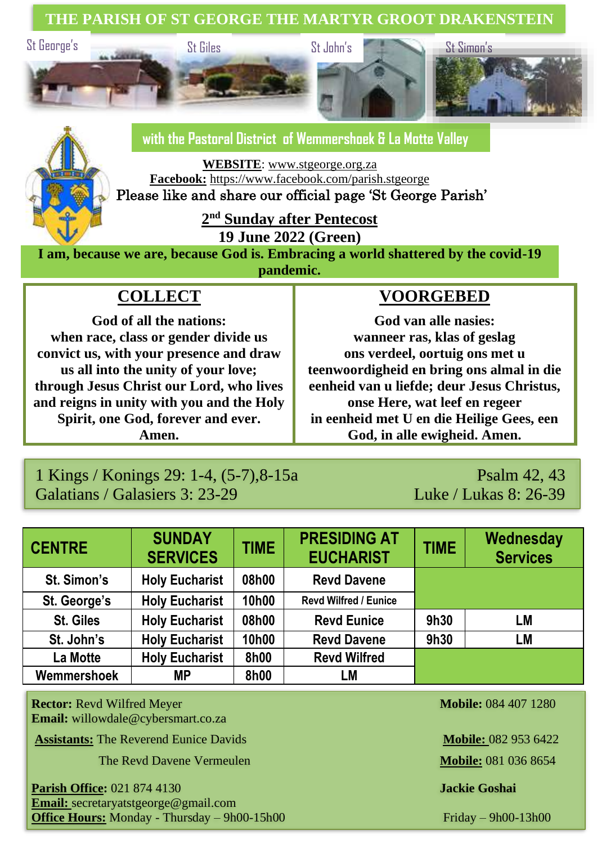**THE PARISH OF ST GEORGE THE MARTYR GROOT DRAKENSTEIN**



# **with the Pastoral District of Wemmershoek & La Motte Valley**

**WEBSITE**: [www.stgeorge.org.za](http://www.stgeorge.org.za/) **Facebook:** <https://www.facebook.com/parish.stgeorge>

Please like and share our official page 'St George Parish'

**2 nd Sunday after Pentecost**

**19 June 2022 (Green)**

**I am, because we are, because God is. Embracing a world shattered by the covid-19 pandemic.**

# **COLLECT**

**God of all the nations: when race, class or gender divide us convict us, with your presence and draw us all into the unity of your love; through Jesus Christ our Lord, who lives and reigns in unity with you and the Holy Spirit, one God, forever and ever. Amen.**

## **VOORGEBED**

**God van alle nasies: wanneer ras, klas of geslag ons verdeel, oortuig ons met u teenwoordigheid en bring ons almal in die eenheid van u liefde; deur Jesus Christus, onse Here, wat leef en regeer in eenheid met U en die Heilige Gees, een God, in alle ewigheid. Amen.**

#### 1 Kings / Konings 29: 1-4, (5-7), 8-15a Psalm 42, 43 Galatians / Galasiers 3: 23-29 Luke / Lukas 8: 26-39

| <b>CENTRE</b>    | <b>SUNDAY</b><br><b>SERVICES</b> | <b>TIME</b> | <b>PRESIDING AT</b><br><b>EUCHARIST</b> | <b>TIME</b> | Wednesday<br><b>Services</b> |
|------------------|----------------------------------|-------------|-----------------------------------------|-------------|------------------------------|
| St. Simon's      | <b>Holy Eucharist</b>            | 08h00       | <b>Revd Davene</b>                      |             |                              |
| St. George's     | <b>Holy Eucharist</b>            | 10h00       | <b>Revd Wilfred / Eunice</b>            |             |                              |
| <b>St. Giles</b> | <b>Holy Eucharist</b>            | 08h00       | <b>Revd Eunice</b>                      | 9h30        | LM                           |
| St. John's       | <b>Holy Eucharist</b>            | 10h00       | <b>Revd Davene</b>                      | 9h30        | LM                           |
| La Motte         | <b>Holy Eucharist</b>            | 8h00        | <b>Revd Wilfred</b>                     |             |                              |
| Wemmershoek      | МP                               | 8h00        | LM                                      |             |                              |

**Rector:** Revd Wilfred Meyer **Mobile:** 084 407 1280 **Email:** willowdale@cybersmart.co.za

**Assistants:** The Reverend Eunice Davids **Mobile: 082 953 6422 Mobile: 082 953 6422** 

**The Revd Davene Vermeulen <b>Mobile:** 081 036 8654

**Parish Office:** 021 874 4130 **Jackie Goshai Email:** secretaryatstgeorge@gmail.com **Office Hours:** Monday - Thursday – 9h00-15h00 Friday – 9h00-13h00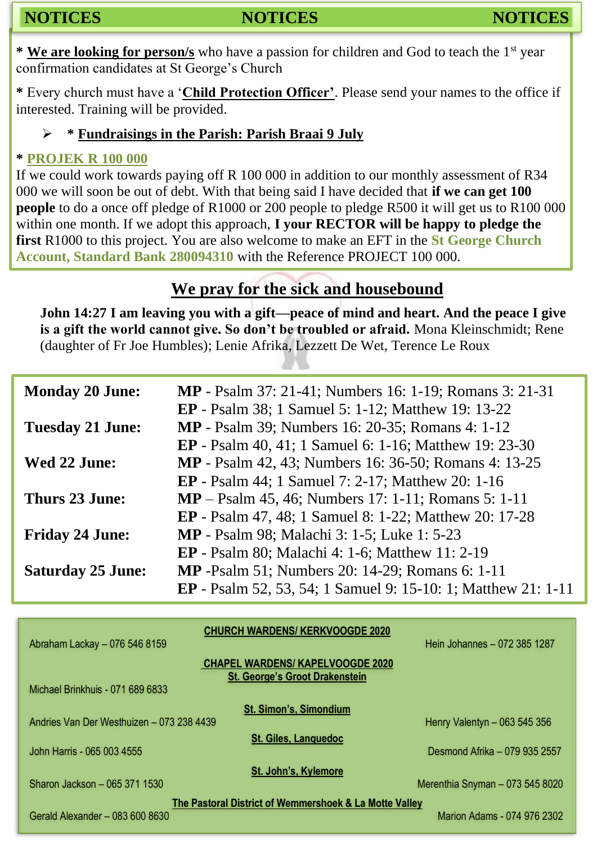**\* We are looking for person/s** who have a passion for children and God to teach the 1st year confirmation candidates at St George's Church

**\*** Every church must have a '**Child Protection Officer'**. Please send your names to the office if interested. Training will be provided.

#### ➢ **\* Fundraisings in the Parish: Parish Braai 9 July**

#### **\* PROJEK R 100 000**

If we could work towards paying off R 100 000 in addition to our monthly assessment of R34 000 we will soon be out of debt. With that being said I have decided that **if we can get 100 people** to do a once off pledge of R1000 or 200 people to pledge R500 it will get us to R100 000 within one month. If we adopt this approach, **I your RECTOR will be happy to pledge the first** R1000 to this project. You are also welcome to make an EFT in the **St George Church Account, Standard Bank 280094310** with the Reference PROJECT 100 000.

# **We pray for the sick and housebound**

**John 14:27 I am leaving you with a gift—peace of mind and heart. And the peace I give is a gift the world cannot give. So don't be troubled or afraid.** Mona Kleinschmidt; Rene (daughter of Fr Joe Humbles); Lenie Afrika, Lezzett De Wet, Terence Le Roux

| <b>Monday 20 June:</b><br><b>MP</b> - Psalm 37: 21-41; Numbers 16: 1-19; Romans 3: 21-31 |  |
|------------------------------------------------------------------------------------------|--|
| <b>EP</b> - Psalm 38; 1 Samuel 5: 1-12; Matthew 19: 13-22                                |  |
| <b>MP</b> - Psalm 39; Numbers 16: 20-35; Romans 4: 1-12<br><b>Tuesday 21 June:</b>       |  |
| <b>EP</b> - Psalm 40, 41; 1 Samuel 6: 1-16; Matthew 19: 23-30                            |  |
| <b>MP</b> - Psalm 42, 43; Numbers 16: 36-50; Romans 4: 13-25<br>Wed 22 June:             |  |
| <b>EP</b> - Psalm 44; 1 Samuel 7: 2-17; Matthew 20: 1-16                                 |  |
| <b>MP</b> – Psalm 45, 46; Numbers 17: 1-11; Romans 5: 1-11<br>Thurs 23 June:             |  |
| <b>EP</b> - Psalm 47, 48; 1 Samuel 8: 1-22; Matthew 20: 17-28                            |  |
| <b>MP</b> - Psalm 98; Malachi 3: 1-5; Luke 1: 5-23<br><b>Friday 24 June:</b>             |  |
| <b>EP</b> - Psalm 80; Malachi 4: 1-6; Matthew 11: 2-19                                   |  |
| <b>MP</b> -Psalm 51; Numbers 20: 14-29; Romans 6: 1-11<br><b>Saturday 25 June:</b>       |  |
| <b>EP</b> - Psalm 52, 53, 54; 1 Samuel 9: 15-10: 1; Matthew 21: 1-11                     |  |

| <b>CHURCH WARDENS/KERKVOOGDE 2020</b>                                     |                                 |  |  |  |  |
|---------------------------------------------------------------------------|---------------------------------|--|--|--|--|
| Abraham Lackay - 076 546 8159                                             | Hein Johannes - 072 385 1287    |  |  |  |  |
| <b>CHAPEL WARDENS/ KAPELVOOGDE 2020</b>                                   |                                 |  |  |  |  |
| <b>St. George's Groot Drakenstein</b><br>Michael Brinkhuis - 071 689 6833 |                                 |  |  |  |  |
|                                                                           |                                 |  |  |  |  |
| <b>St. Simon's, Simondium</b>                                             |                                 |  |  |  |  |
| Andries Van Der Westhuizen - 073 238 4439                                 | Henry Valentyn - 063 545 356    |  |  |  |  |
| <b>St. Giles, Languedoc</b>                                               |                                 |  |  |  |  |
| John Harris - 065 003 4555                                                | Desmond Afrika - 079 935 2557   |  |  |  |  |
| St. John's, Kylemore                                                      |                                 |  |  |  |  |
| Sharon Jackson - 065 371 1530                                             | Merenthia Snyman - 073 545 8020 |  |  |  |  |
| The Pastoral District of Wemmershoek & La Motte Valley                    |                                 |  |  |  |  |
| Gerald Alexander - 083 600 8630                                           | Marion Adams - 074 976 2302     |  |  |  |  |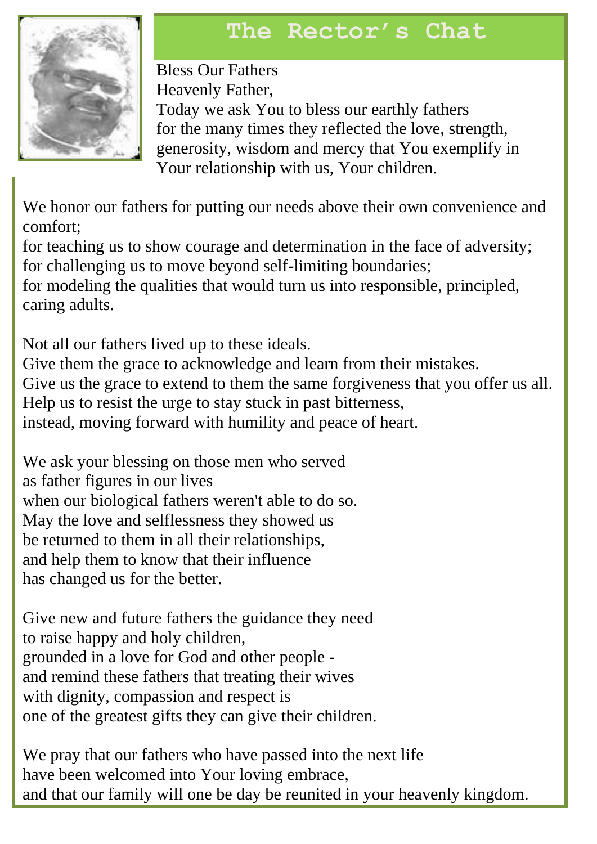# **The Rector's Chat**



Bless Our Fathers Heavenly Father, Today we ask You to bless our earthly fathers for the many times they reflected the love, strength, generosity, wisdom and mercy that You exemplify in Your relationship with us, Your children.

We honor our fathers for putting our needs above their own convenience and comfort;

for teaching us to show courage and determination in the face of adversity; for challenging us to move beyond self-limiting boundaries;

for modeling the qualities that would turn us into responsible, principled, caring adults.

Not all our fathers lived up to these ideals. Give them the grace to acknowledge and learn from their mistakes. Give us the grace to extend to them the same forgiveness that you offer us all. Help us to resist the urge to stay stuck in past bitterness, instead, moving forward with humility and peace of heart.

We ask your blessing on those men who served as father figures in our lives when our biological fathers weren't able to do so. May the love and selflessness they showed us be returned to them in all their relationships, and help them to know that their influence has changed us for the better.

Give new and future fathers the guidance they need to raise happy and holy children, grounded in a love for God and other people and remind these fathers that treating their wives with dignity, compassion and respect is one of the greatest gifts they can give their children.

We pray that our fathers who have passed into the next life have been welcomed into Your loving embrace, and that our family will one be day be reunited in your heavenly kingdom.